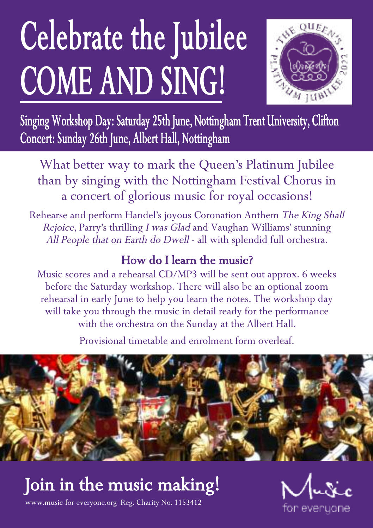# Celebrate the Jubilee COME AND SING!



Singing Workshop Day: Saturday 25th June, Nottingham Trent University, Clifton Concert: Sunday 26th June, Albert Hall, Nottingham

What better way to mark the Queen's Platinum Jubilee than by singing with the Nottingham Festival Chorus in a concert of glorious music for royal occasions!

Rehearse and perform Handel's joyous Coronation Anthem The King Shall Rejoice, Parry's thrilling <sup>I</sup> was Glad and Vaughan Williams' stunning All People that on Earth do Dwell - all with splendid full orchestra.

### How do I learn the music?

Music scores and a rehearsal CD/MP3 will be sent out approx. 6 weeks before the Saturday workshop. There will also be an optional zoom rehearsal in early June to help you learn the notes. The workshop day will take you through the music in detail ready for the performance with the orchestra on the Sunday at the Albert Hall.

Provisional timetable and enrolment form overleaf.



# Join in the music making!



www.music-for-everyone.org Reg. Charity No. 1153412